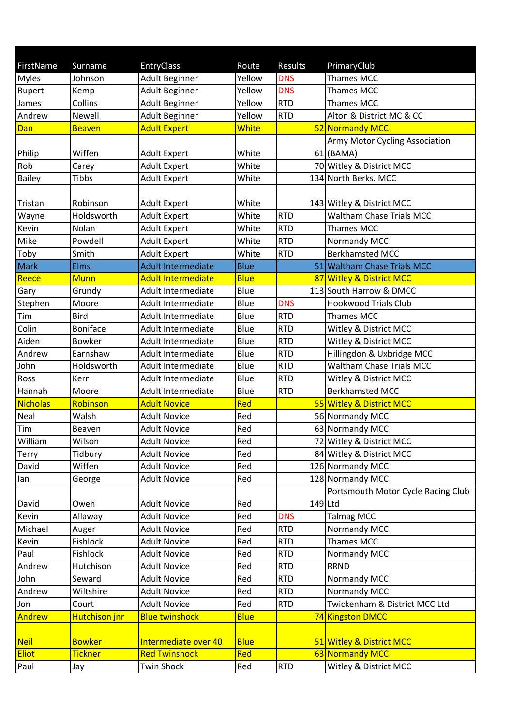| FirstName     | Surname         | EntryClass                | Route       | Results    | PrimaryClub                        |
|---------------|-----------------|---------------------------|-------------|------------|------------------------------------|
| <b>Myles</b>  | Johnson         | Adult Beginner            | Yellow      | <b>DNS</b> | <b>Thames MCC</b>                  |
| Rupert        | Kemp            | Adult Beginner            | Yellow      | <b>DNS</b> | Thames MCC                         |
| James         | Collins         | Adult Beginner            | Yellow      | <b>RTD</b> | Thames MCC                         |
| Andrew        | <b>Newell</b>   | Adult Beginner            | Yellow      | <b>RTD</b> | Alton & District MC & CC           |
| Dan           | <b>Beaven</b>   | <b>Adult Expert</b>       | White       |            | 52 Normandy MCC                    |
|               |                 |                           |             |            | Army Motor Cycling Association     |
| Philip        | Wiffen          | <b>Adult Expert</b>       | White       |            | $61$ (BAMA)                        |
| Rob           | Carey           | <b>Adult Expert</b>       | White       |            | 70 Witley & District MCC           |
| <b>Bailey</b> | Tibbs           | <b>Adult Expert</b>       | White       |            | 134 North Berks. MCC               |
| Tristan       | Robinson        | <b>Adult Expert</b>       | White       |            | 143 Witley & District MCC          |
| Wayne         | Holdsworth      | <b>Adult Expert</b>       | White       | <b>RTD</b> | <b>Waltham Chase Trials MCC</b>    |
| Kevin         | Nolan           | <b>Adult Expert</b>       | White       | <b>RTD</b> | <b>Thames MCC</b>                  |
| Mike          | Powdell         | <b>Adult Expert</b>       | White       | <b>RTD</b> | Normandy MCC                       |
| Toby          | Smith           | <b>Adult Expert</b>       | White       | <b>RTD</b> | <b>Berkhamsted MCC</b>             |
| <b>Mark</b>   | <b>Elms</b>     | <b>Adult Intermediate</b> | <b>Blue</b> |            | 51 Waltham Chase Trials MCC        |
| Reece         | <b>Munn</b>     | <b>Adult Intermediate</b> | <b>Blue</b> |            | 87 Witley & District MCC           |
| Gary          | Grundy          | Adult Intermediate        | Blue        |            | 113 South Harrow & DMCC            |
| Stephen       | Moore           | Adult Intermediate        | Blue        | <b>DNS</b> | <b>Hookwood Trials Club</b>        |
| Tim           | <b>Bird</b>     | Adult Intermediate        | Blue        | <b>RTD</b> | Thames MCC                         |
| Colin         | <b>Boniface</b> | Adult Intermediate        | Blue        | <b>RTD</b> | Witley & District MCC              |
| Aiden         | <b>Bowker</b>   | Adult Intermediate        | Blue        | <b>RTD</b> | Witley & District MCC              |
| Andrew        | Earnshaw        | Adult Intermediate        | Blue        | <b>RTD</b> | Hillingdon & Uxbridge MCC          |
| John          | Holdsworth      | Adult Intermediate        | Blue        | <b>RTD</b> | <b>Waltham Chase Trials MCC</b>    |
| Ross          | Kerr            | Adult Intermediate        | Blue        | <b>RTD</b> | Witley & District MCC              |
| Hannah        | Moore           | Adult Intermediate        | Blue        | <b>RTD</b> | <b>Berkhamsted MCC</b>             |
| Nicholas      | Robinson        | <b>Adult Novice</b>       | Red         |            | 55 Witley & District MCC           |
| Neal          | Walsh           | <b>Adult Novice</b>       | Red         |            | 56 Normandy MCC                    |
| Tim           | Beaven          | <b>Adult Novice</b>       | Red         |            | 63 Normandy MCC                    |
| William       | Wilson          | <b>Adult Novice</b>       | Red         |            | 72 Witley & District MCC           |
| <b>Terry</b>  | Tidbury         | <b>Adult Novice</b>       | Red         |            | 84 Witley & District MCC           |
| David         | Wiffen          | <b>Adult Novice</b>       | Red         |            | 126 Normandy MCC                   |
| lan           | George          | <b>Adult Novice</b>       | Red         |            | 128 Normandy MCC                   |
| David         | Owen            | <b>Adult Novice</b>       | Red         | 149 Ltd    | Portsmouth Motor Cycle Racing Club |
| Kevin         | Allaway         | <b>Adult Novice</b>       | Red         | <b>DNS</b> | <b>Talmag MCC</b>                  |
| Michael       | Auger           | <b>Adult Novice</b>       | Red         | <b>RTD</b> | Normandy MCC                       |
| Kevin         | Fishlock        | <b>Adult Novice</b>       | Red         | <b>RTD</b> | Thames MCC                         |
| Paul          | Fishlock        | <b>Adult Novice</b>       | Red         | <b>RTD</b> | Normandy MCC                       |
| Andrew        | Hutchison       | <b>Adult Novice</b>       | Red         | <b>RTD</b> | <b>RRND</b>                        |
| John          | Seward          | <b>Adult Novice</b>       | Red         | <b>RTD</b> | Normandy MCC                       |
| Andrew        | Wiltshire       | <b>Adult Novice</b>       | Red         | <b>RTD</b> | Normandy MCC                       |
| Jon           | Court           | <b>Adult Novice</b>       | Red         | <b>RTD</b> | Twickenham & District MCC Ltd      |
| Andrew        | Hutchison jnr   | <b>Blue twinshock</b>     | <b>Blue</b> |            | 74 Kingston DMCC                   |
|               |                 |                           |             |            |                                    |
| <b>Neil</b>   | <b>Bowker</b>   | Intermediate over 40      | <b>Blue</b> |            | 51 Witley & District MCC           |
| <b>Eliot</b>  | <b>Tickner</b>  | <b>Red Twinshock</b>      | Red         |            | 63 Normandy MCC                    |
| Paul          | Jay             | Twin Shock                | Red         | <b>RTD</b> | Witley & District MCC              |